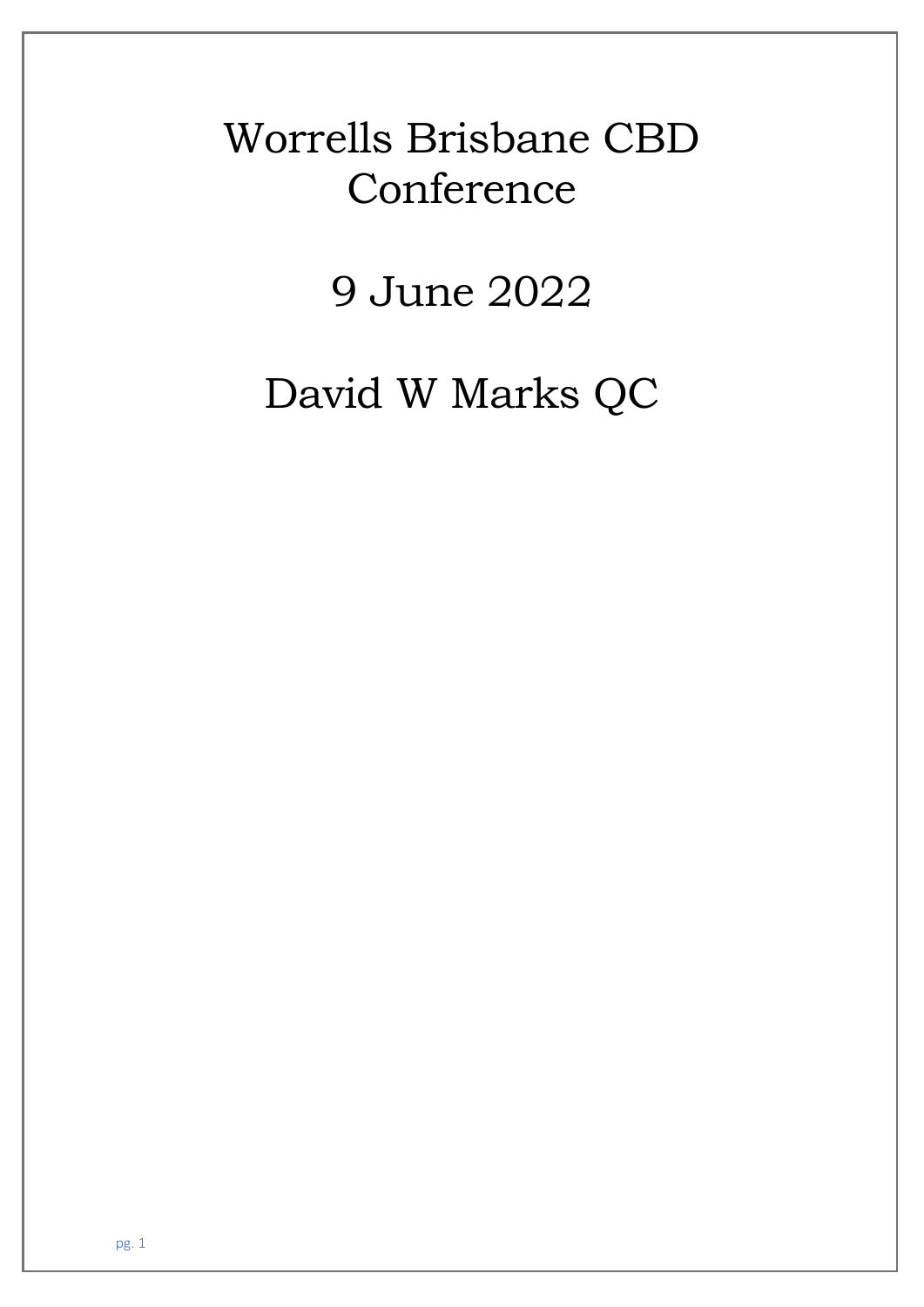# Worrells Brisbane CBD **Conference**

9 June 2022

David W Marks QC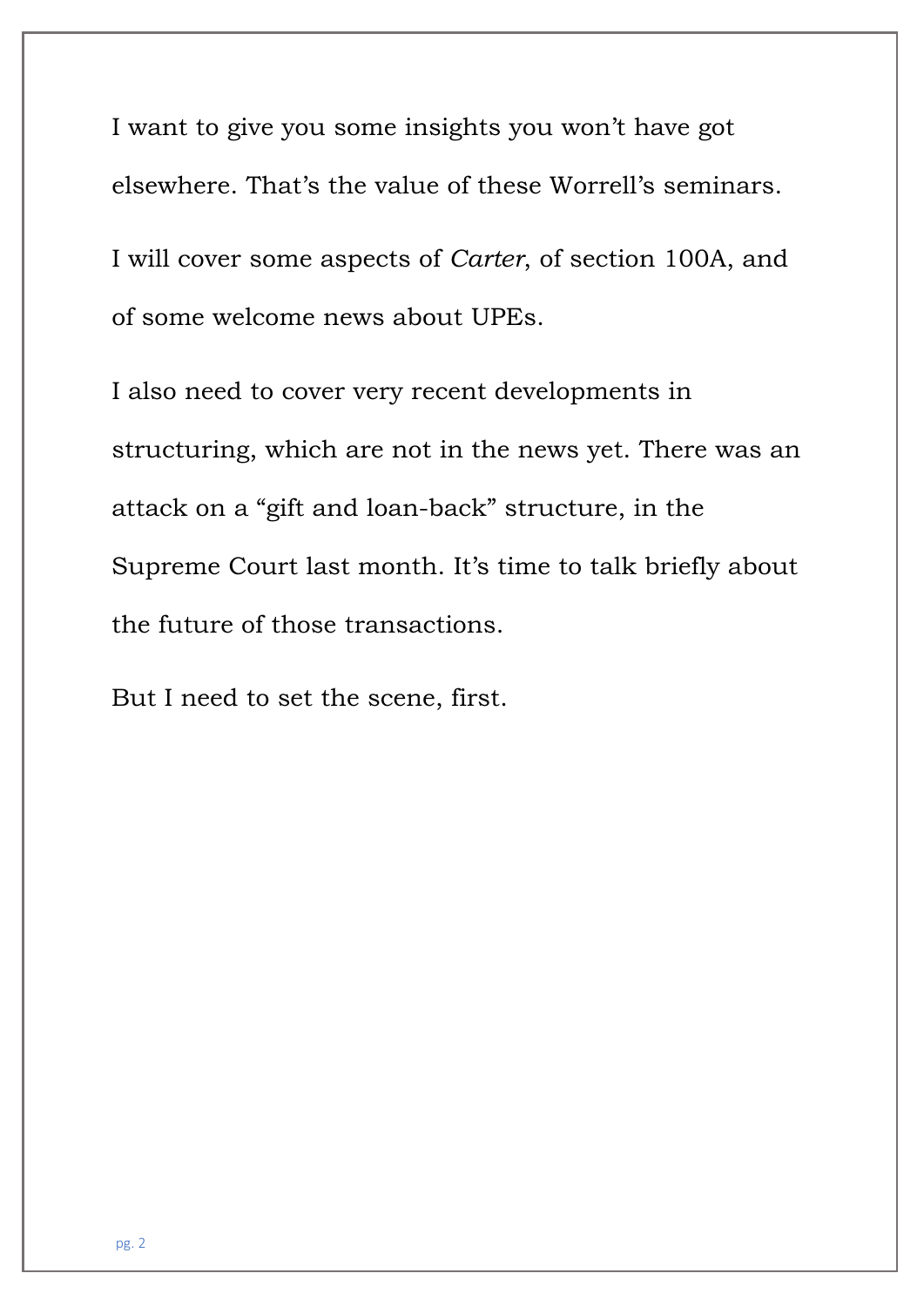I want to give you some insights you won't have got elsewhere. That's the value of these Worrell's seminars. I will cover some aspects of *Carter*, of section 100A, and of some welcome news about UPEs.

I also need to cover very recent developments in structuring, which are not in the news yet. There was an attack on a "gift and loan-back" structure, in the Supreme Court last month. It's time to talk briefly about the future of those transactions.

But I need to set the scene, first.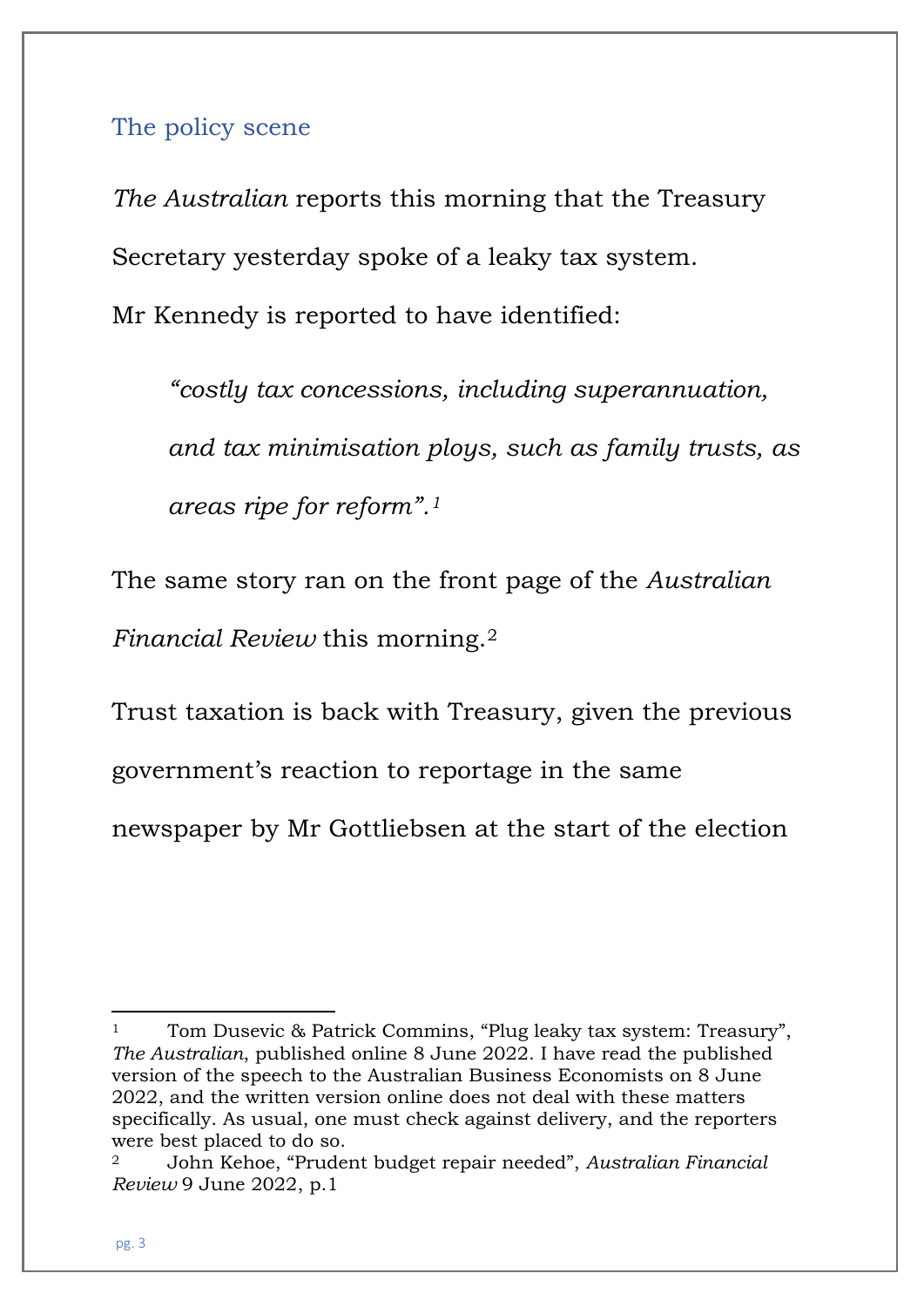The policy scene

*The Australian* reports this morning that the Treasury Secretary yesterday spoke of a leaky tax system. Mr Kennedy is reported to have identified:

*"costly tax concessions, including superannuation, and tax minimisation ploys, such as family trusts, as areas ripe for reform".[1](#page-2-0)*

The same story ran on the front page of the *Australian Financial Review* this morning.[2](#page-2-1)

Trust taxation is back with Treasury, given the previous government's reaction to reportage in the same newspaper by Mr Gottliebsen at the start of the election

<span id="page-2-0"></span><sup>&</sup>lt;sup>1</sup> Tom Dusevic & Patrick Commins, "Plug leaky tax system: Treasury", *The Australian*, published online 8 June 2022. I have read the published version of the speech to the Australian Business Economists on 8 June 2022, and the written version online does not deal with these matters specifically. As usual, one must check against delivery, and the reporters were best placed to do so.

<span id="page-2-1"></span><sup>2</sup> John Kehoe, "Prudent budget repair needed", *Australian Financial Review* 9 June 2022, p.1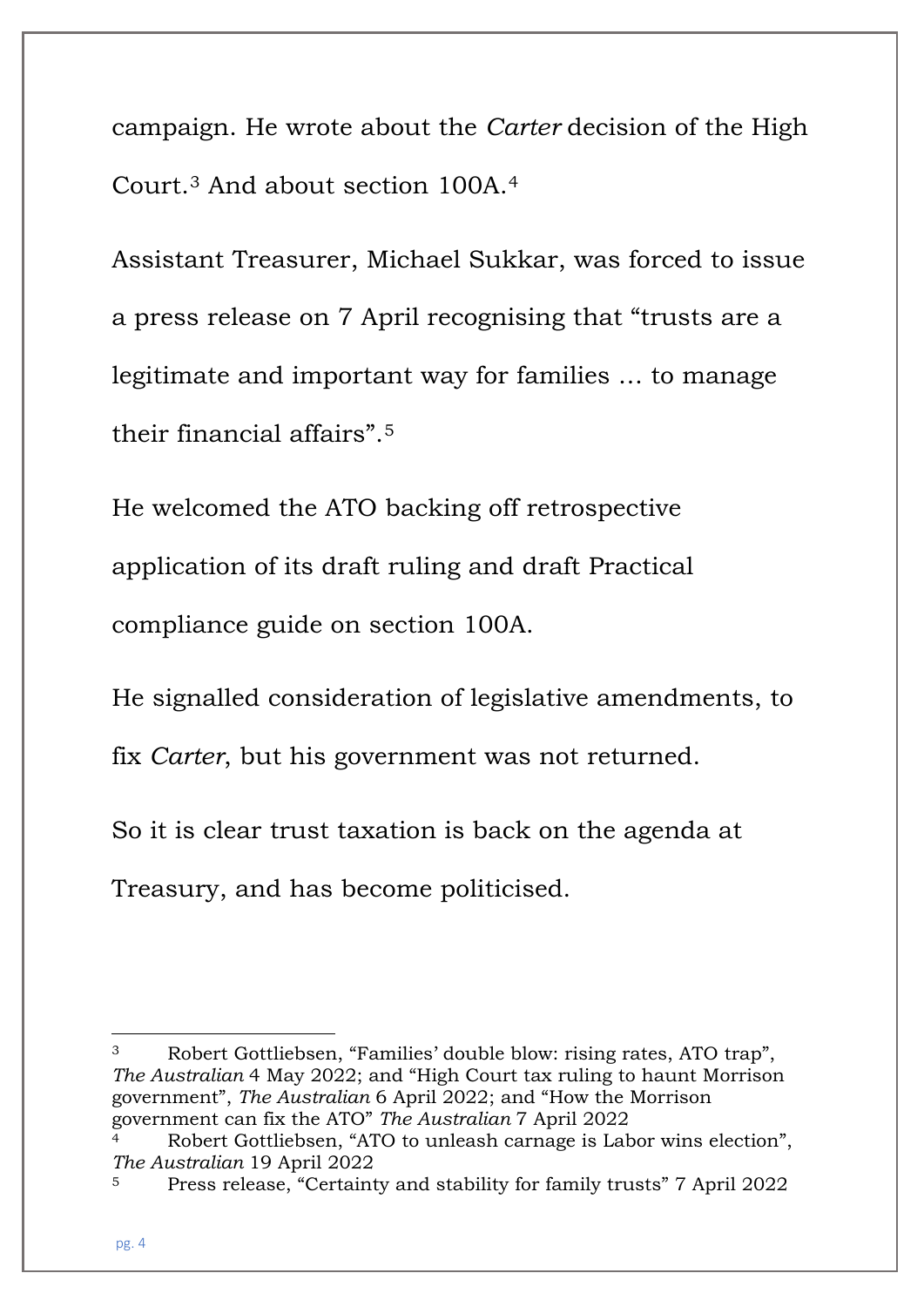campaign. He wrote about the *Carter* decision of the High Court.[3](#page-3-0) And about section 100A.[4](#page-3-1)

Assistant Treasurer, Michael Sukkar, was forced to issue a press release on 7 April recognising that "trusts are a legitimate and important way for families … to manage their financial affairs".[5](#page-3-2)

He welcomed the ATO backing off retrospective application of its draft ruling and draft Practical compliance guide on section 100A.

He signalled consideration of legislative amendments, to

fix *Carter*, but his government was not returned.

So it is clear trust taxation is back on the agenda at Treasury, and has become politicised.

<span id="page-3-0"></span><sup>3</sup> Robert Gottliebsen, "Families' double blow: rising rates, ATO trap", *The Australian* 4 May 2022; and "High Court tax ruling to haunt Morrison government", *The Australian* 6 April 2022; and "How the Morrison government can fix the ATO" *The Australian* 7 April 2022

<span id="page-3-1"></span>Robert Gottliebsen, "ATO to unleash carnage is Labor wins election", *The Australian* 19 April 2022

<span id="page-3-2"></span><sup>5</sup> Press release, "Certainty and stability for family trusts" 7 April 2022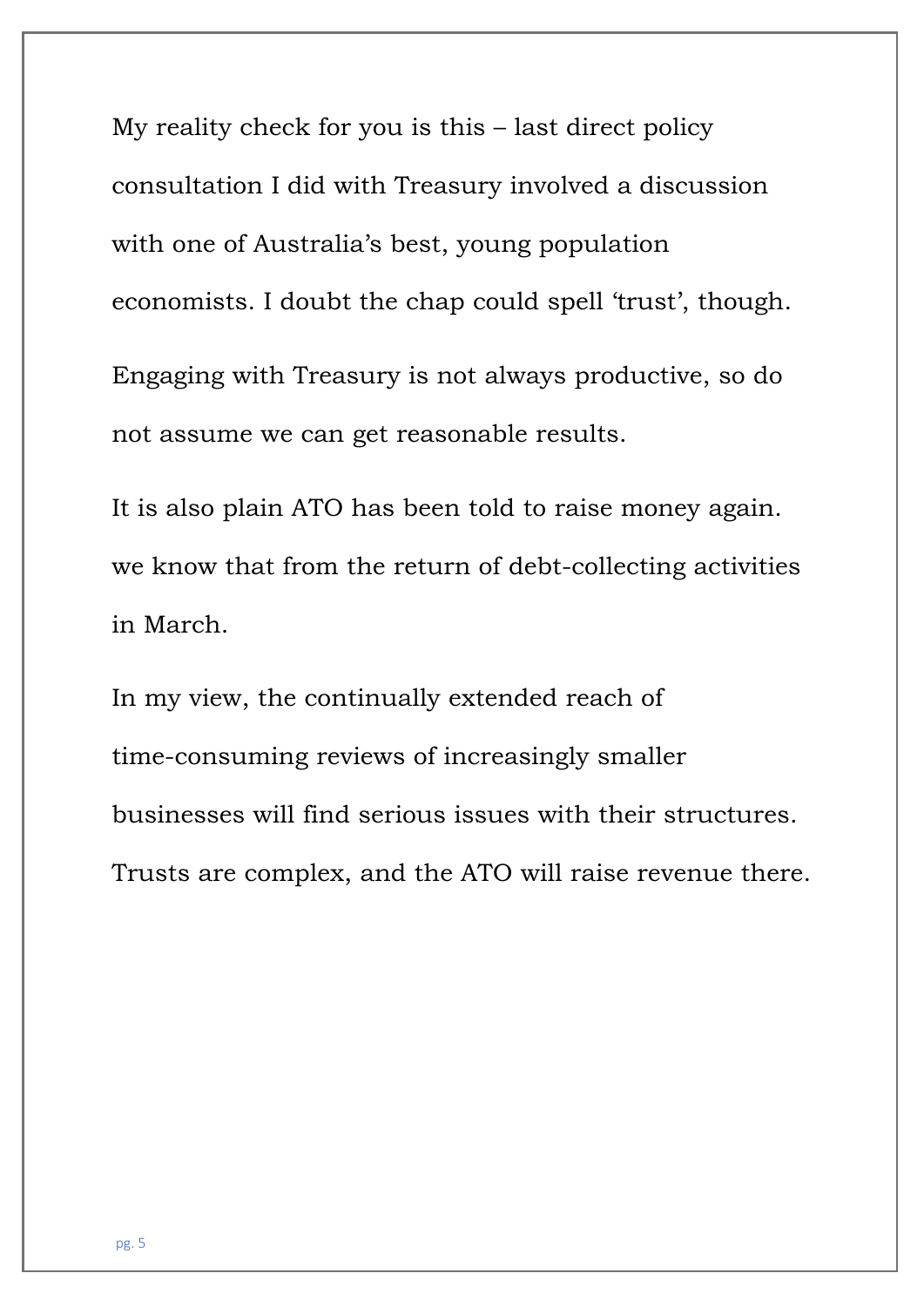My reality check for you is this – last direct policy consultation I did with Treasury involved a discussion with one of Australia's best, young population economists. I doubt the chap could spell 'trust', though. Engaging with Treasury is not always productive, so do not assume we can get reasonable results.

It is also plain ATO has been told to raise money again. we know that from the return of debt-collecting activities in March.

In my view, the continually extended reach of time-consuming reviews of increasingly smaller businesses will find serious issues with their structures. Trusts are complex, and the ATO will raise revenue there.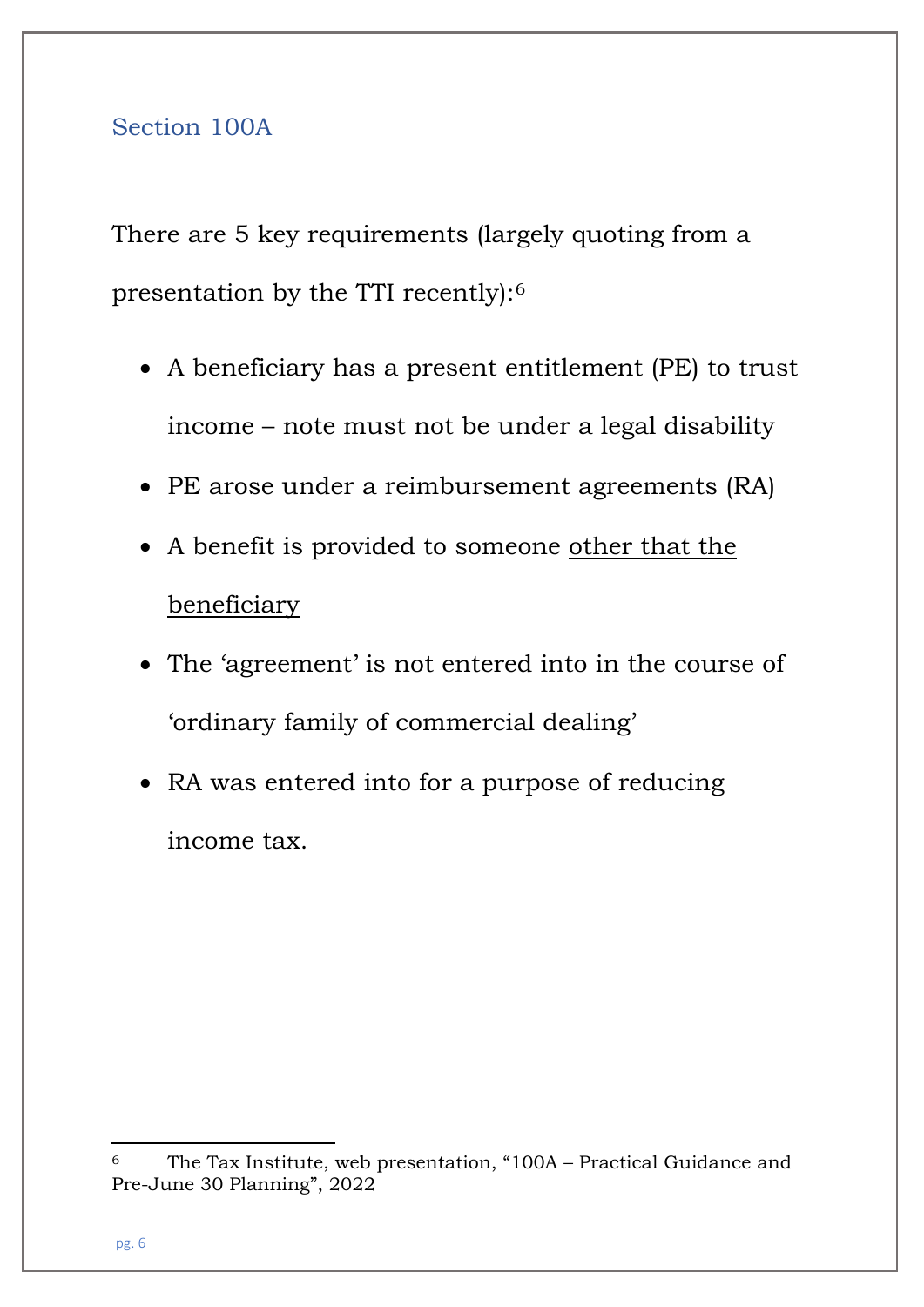#### Section 100A

There are 5 key requirements (largely quoting from a presentation by the TTI recently):[6](#page-5-0)

- A beneficiary has a present entitlement (PE) to trust income – note must not be under a legal disability
- PE arose under a reimbursement agreements (RA)
- A benefit is provided to someone other that the beneficiary
- The 'agreement' is not entered into in the course of 'ordinary family of commercial dealing'
- RA was entered into for a purpose of reducing income tax.

<span id="page-5-0"></span><sup>6</sup> The Tax Institute, web presentation, "100A – Practical Guidance and Pre-June 30 Planning", 2022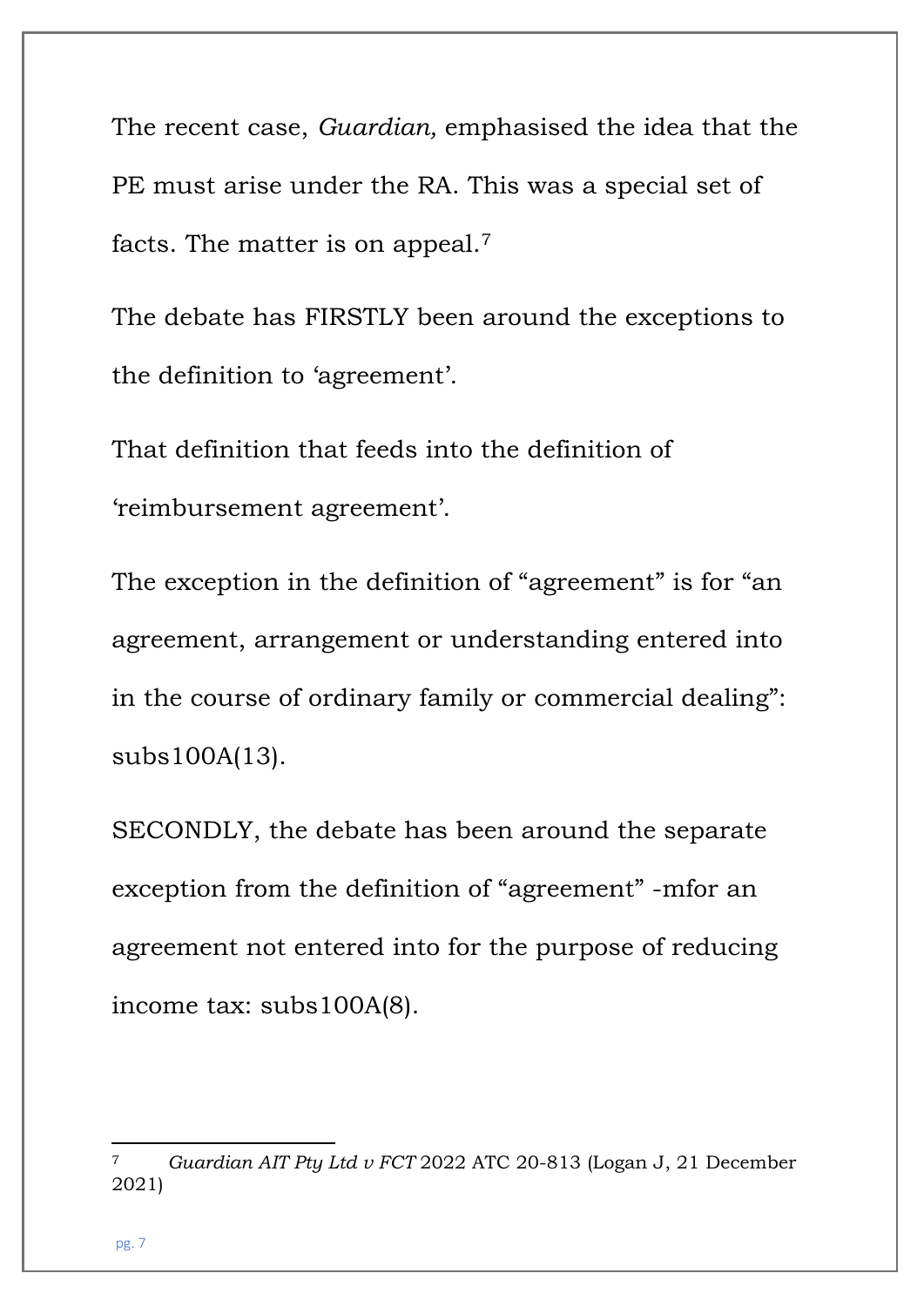The recent case, *Guardian,* emphasised the idea that the PE must arise under the RA. This was a special set of facts. The matter is on appeal.[7](#page-6-0)

The debate has FIRSTLY been around the exceptions to the definition to 'agreement'.

That definition that feeds into the definition of 'reimbursement agreement'.

The exception in the definition of "agreement" is for "an agreement, arrangement or understanding entered into in the course of ordinary family or commercial dealing": subs100A(13).

SECONDLY, the debate has been around the separate exception from the definition of "agreement" -mfor an agreement not entered into for the purpose of reducing income tax: subs100A(8).

pg. 7

<span id="page-6-0"></span><sup>7</sup> *Guardian AIT Pty Ltd v FCT* 2022 ATC 20-813 (Logan J, 21 December 2021)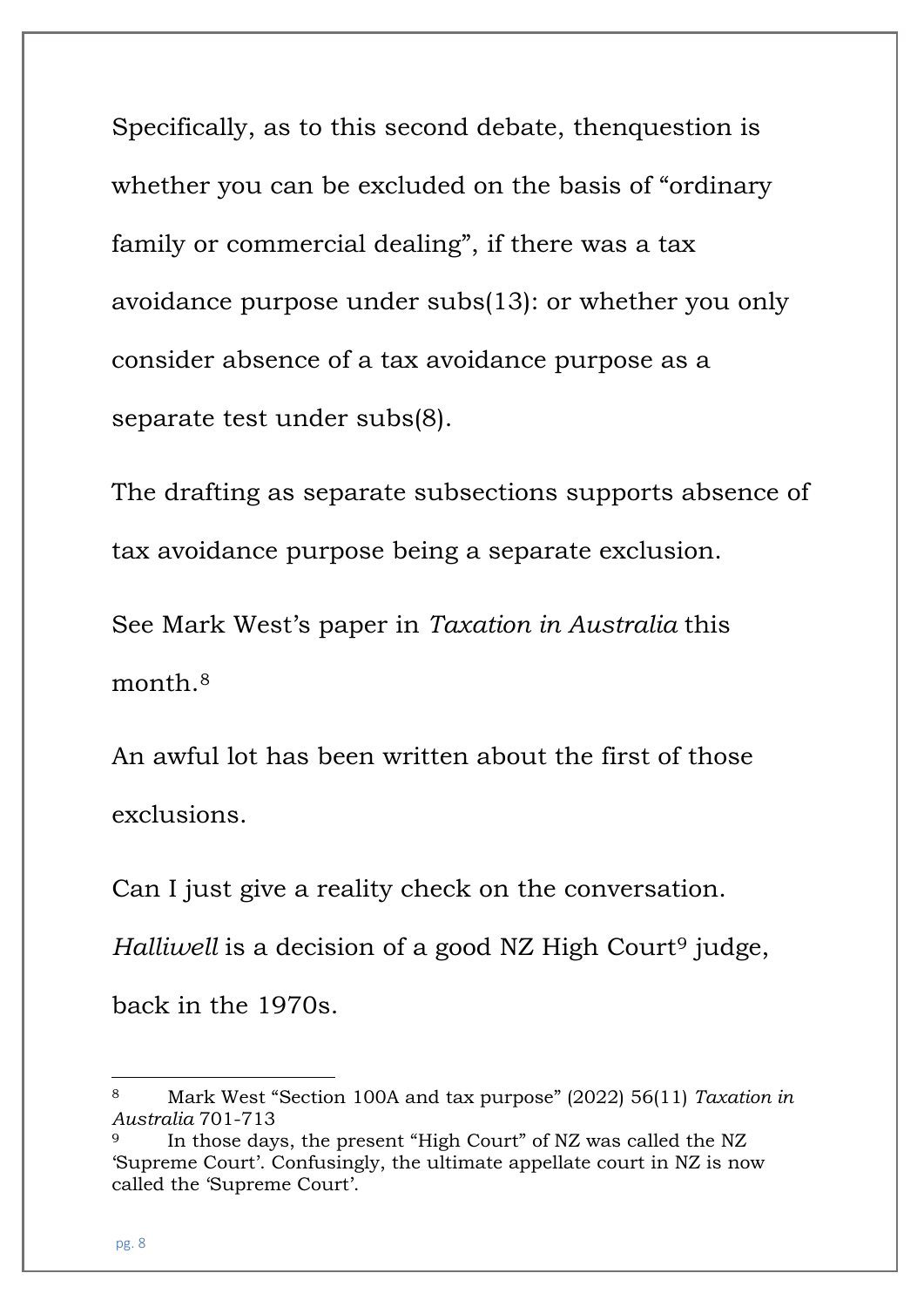Specifically, as to this second debate, thenquestion is whether you can be excluded on the basis of "ordinary family or commercial dealing", if there was a tax avoidance purpose under subs(13): or whether you only consider absence of a tax avoidance purpose as a separate test under subs(8).

The drafting as separate subsections supports absence of tax avoidance purpose being a separate exclusion.

See Mark West's paper in *Taxation in Australia* this month.[8](#page-7-0)

An awful lot has been written about the first of those exclusions.

Can I just give a reality check on the conversation. *Halliwell* is a decision of a good NZ High Court<sup>[9](#page-7-1)</sup> judge, back in the 1970s.

<span id="page-7-0"></span><sup>8</sup> Mark West "Section 100A and tax purpose" (2022) 56(11) *Taxation in Australia* 701-713

<span id="page-7-1"></span><sup>9</sup> In those days, the present "High Court" of NZ was called the NZ 'Supreme Court'. Confusingly, the ultimate appellate court in NZ is now called the 'Supreme Court'.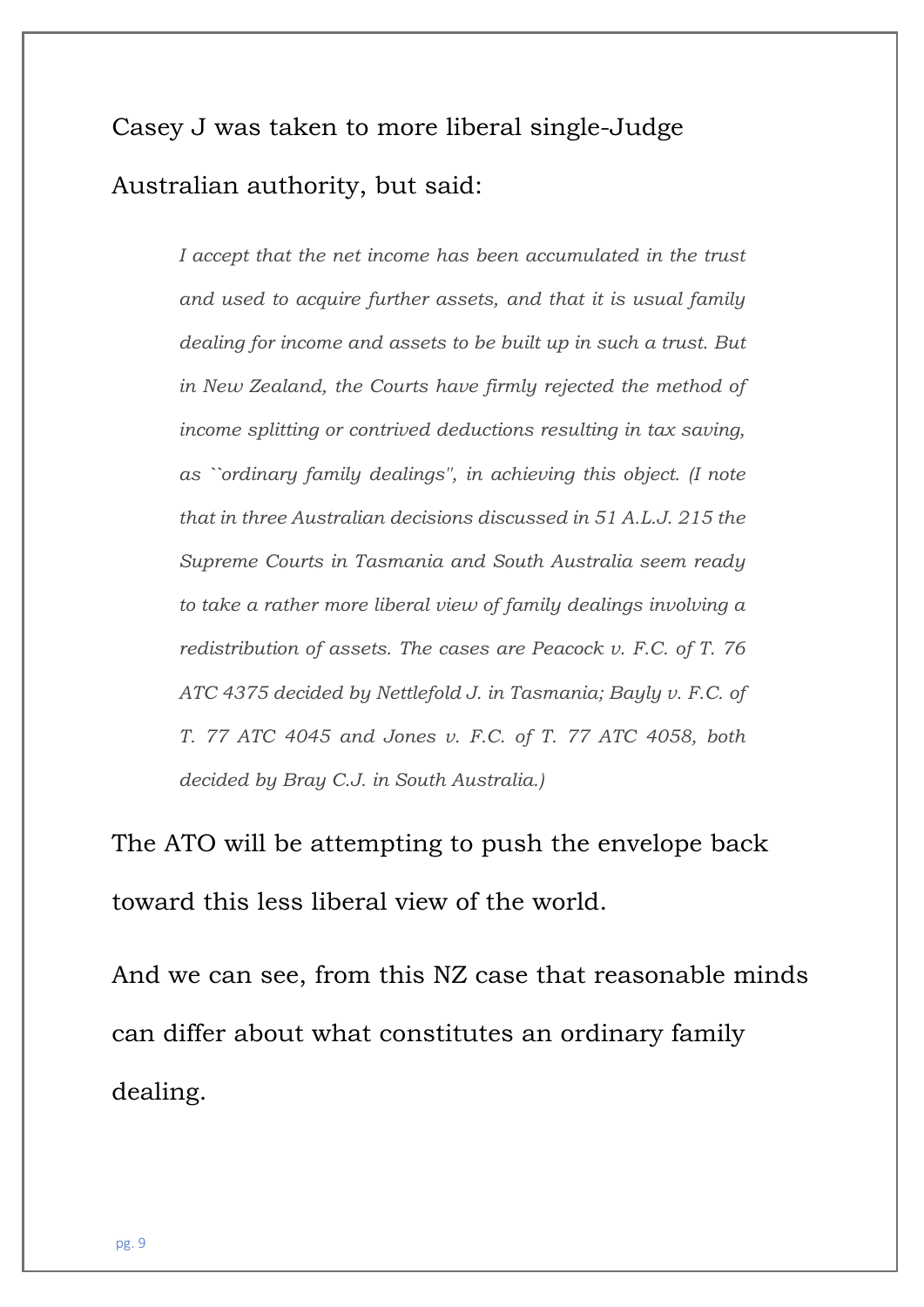## Casey J was taken to more liberal single-Judge Australian authority, but said:

*I accept that the net income has been accumulated in the trust and used to acquire further assets, and that it is usual family dealing for income and assets to be built up in such a trust. But in New Zealand, the Courts have firmly rejected the method of income splitting or contrived deductions resulting in tax saving, as ``ordinary family dealings'', in achieving this object. (I note that in three Australian decisions discussed in 51 A.L.J. 215 the Supreme Courts in Tasmania and South Australia seem ready to take a rather more liberal view of family dealings involving a redistribution of assets. The cases are Peacock v. F.C. of T. 76 ATC 4375 decided by Nettlefold J. in Tasmania; Bayly v. F.C. of T. 77 ATC 4045 and Jones v. F.C. of T. 77 ATC 4058, both decided by Bray C.J. in South Australia.)*

The ATO will be attempting to push the envelope back toward this less liberal view of the world.

And we can see, from this NZ case that reasonable minds can differ about what constitutes an ordinary family dealing.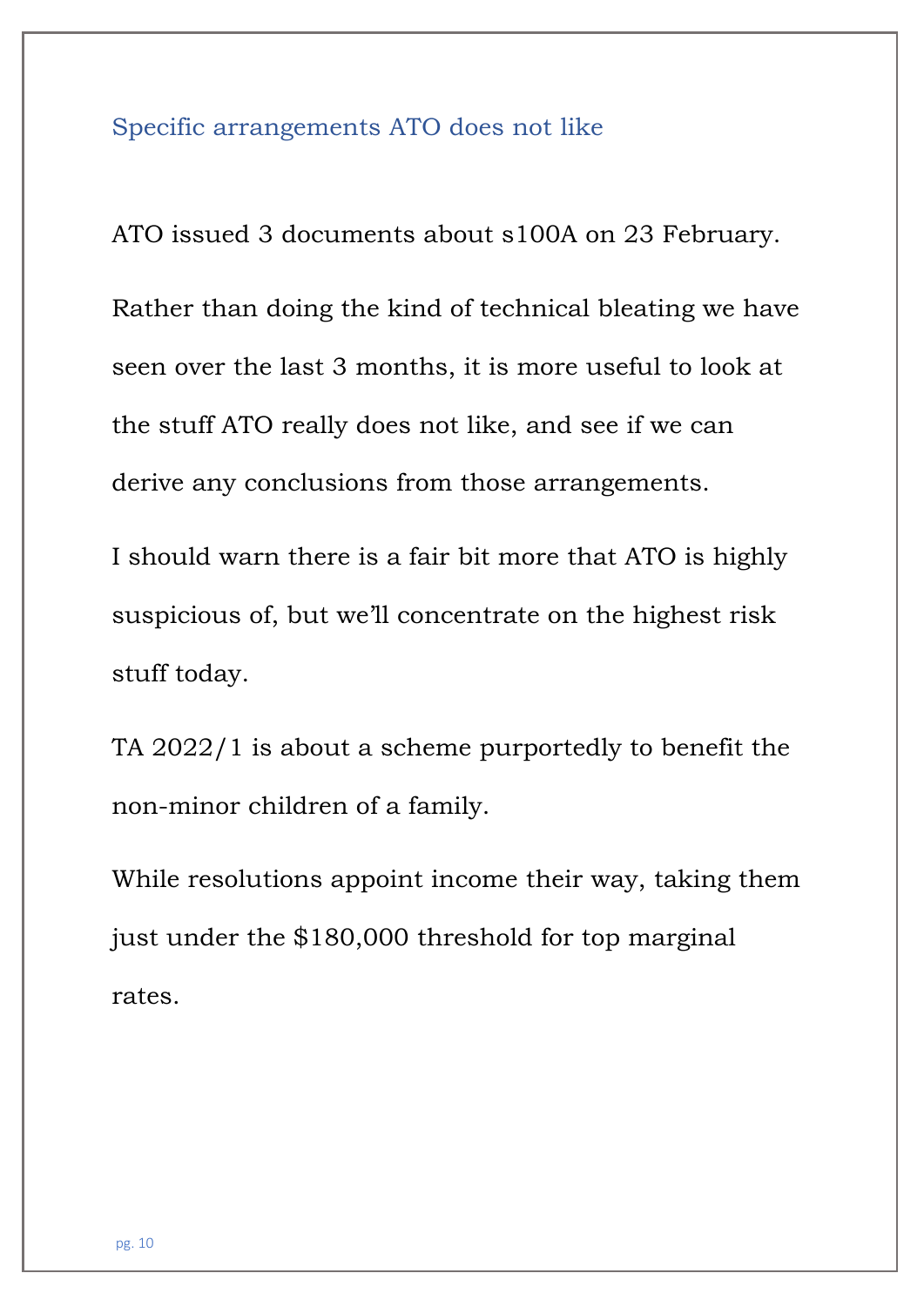#### Specific arrangements ATO does not like

ATO issued 3 documents about s100A on 23 February. Rather than doing the kind of technical bleating we have seen over the last 3 months, it is more useful to look at the stuff ATO really does not like, and see if we can derive any conclusions from those arrangements.

I should warn there is a fair bit more that ATO is highly suspicious of, but we'll concentrate on the highest risk stuff today.

TA 2022/1 is about a scheme purportedly to benefit the non-minor children of a family.

While resolutions appoint income their way, taking them just under the \$180,000 threshold for top marginal rates.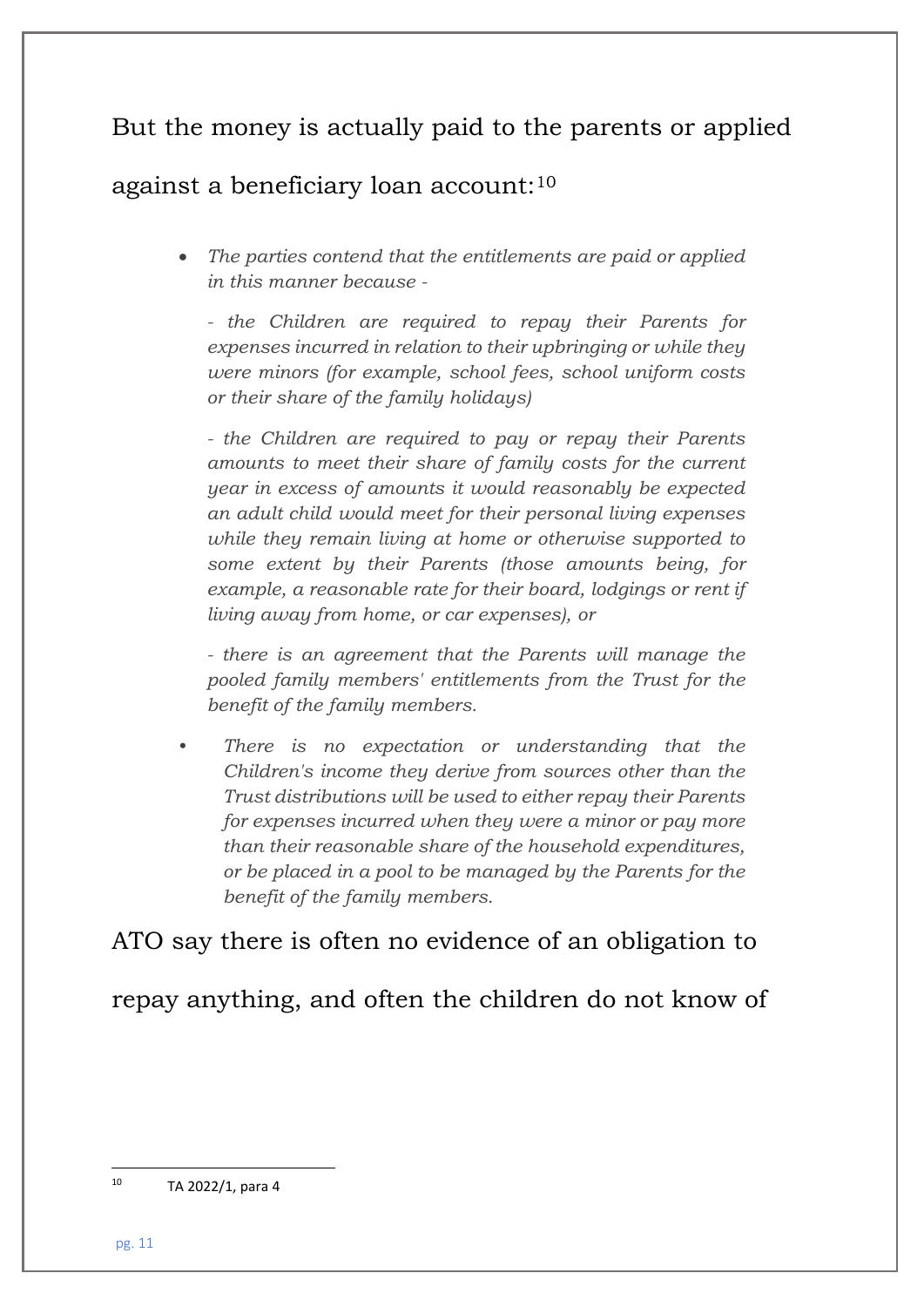## But the money is actually paid to the parents or applied

### against a beneficiary loan account:[10](#page-10-0)

• *The parties contend that the entitlements are paid or applied in this manner because -*

*- the Children are required to repay their Parents for expenses incurred in relation to their upbringing or while they were minors (for example, school fees, school uniform costs or their share of the family holidays)*

*- the Children are required to pay or repay their Parents amounts to meet their share of family costs for the current year in excess of amounts it would reasonably be expected an adult child would meet for their personal living expenses while they remain living at home or otherwise supported to some extent by their Parents (those amounts being, for example, a reasonable rate for their board, lodgings or rent if living away from home, or car expenses), or*

*- there is an agreement that the Parents will manage the pooled family members' entitlements from the Trust for the benefit of the family members.*

• *There is no expectation or understanding that the Children's income they derive from sources other than the Trust distributions will be used to either repay their Parents for expenses incurred when they were a minor or pay more than their reasonable share of the household expenditures, or be placed in a pool to be managed by the Parents for the benefit of the family members.*

### ATO say there is often no evidence of an obligation to

repay anything, and often the children do not know of

<span id="page-10-0"></span><sup>10</sup> TA 2022/1, para 4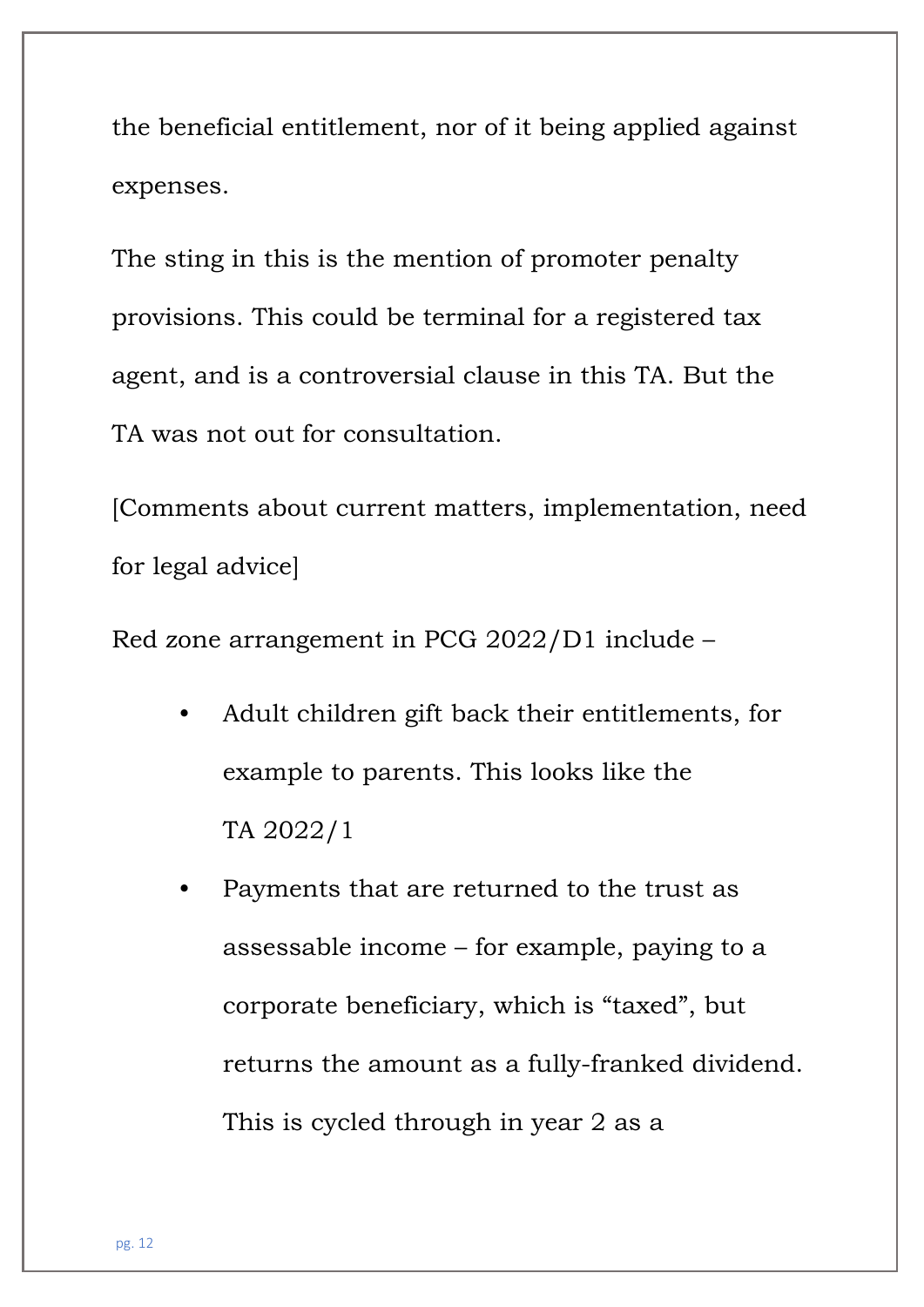the beneficial entitlement, nor of it being applied against expenses.

The sting in this is the mention of promoter penalty provisions. This could be terminal for a registered tax agent, and is a controversial clause in this TA. But the TA was not out for consultation.

[Comments about current matters, implementation, need for legal advice]

Red zone arrangement in PCG 2022/D1 include –

- Adult children gift back their entitlements, for example to parents. This looks like the TA 2022/1
- Payments that are returned to the trust as assessable income – for example, paying to a corporate beneficiary, which is "taxed", but returns the amount as a fully-franked dividend. This is cycled through in year 2 as a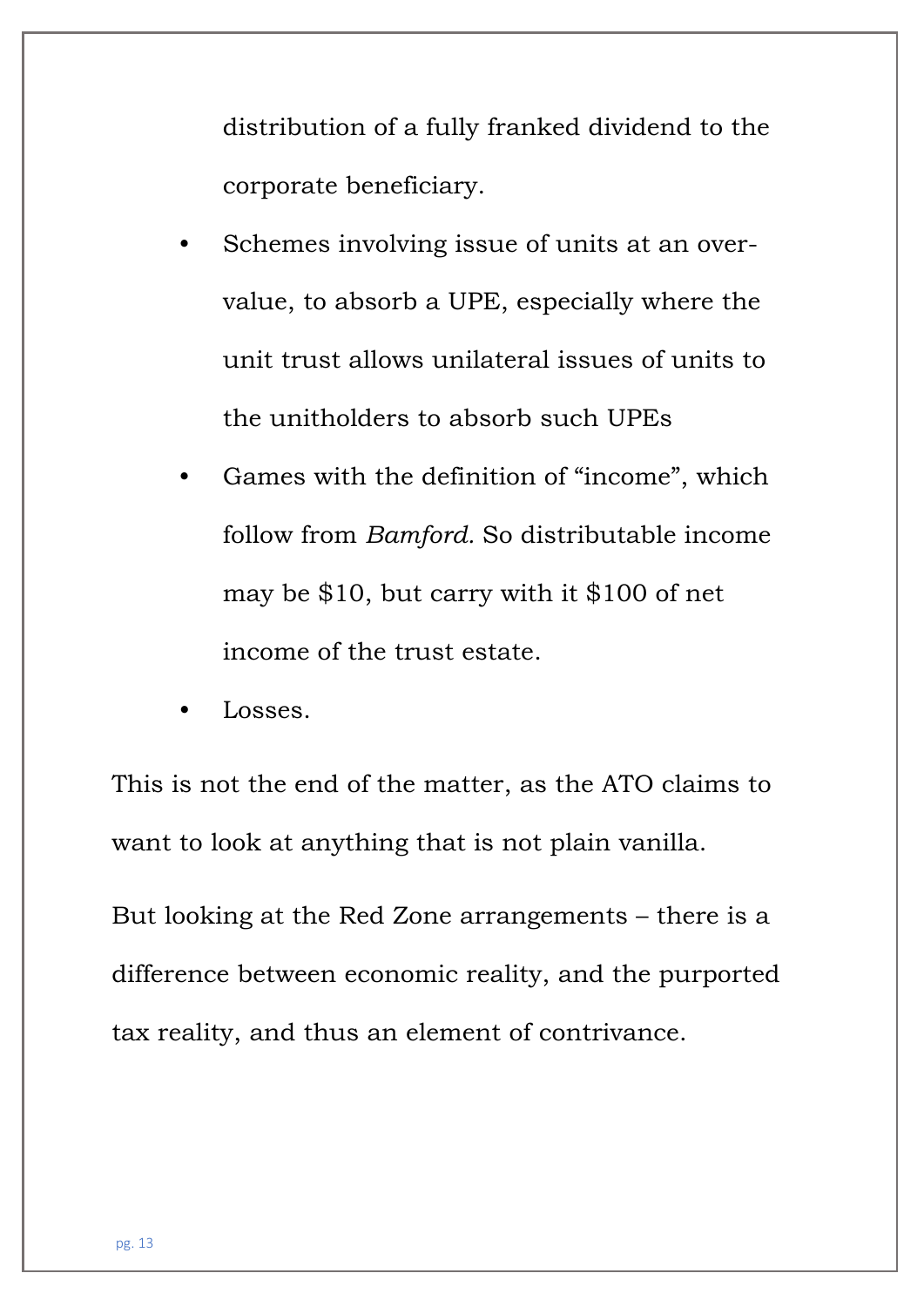distribution of a fully franked dividend to the corporate beneficiary.

- Schemes involving issue of units at an overvalue, to absorb a UPE, especially where the unit trust allows unilateral issues of units to the unitholders to absorb such UPEs
- Games with the definition of "income", which follow from *Bamford.* So distributable income may be \$10, but carry with it \$100 of net income of the trust estate.
- Losses.

This is not the end of the matter, as the ATO claims to want to look at anything that is not plain vanilla.

But looking at the Red Zone arrangements – there is a difference between economic reality, and the purported tax reality, and thus an element of contrivance.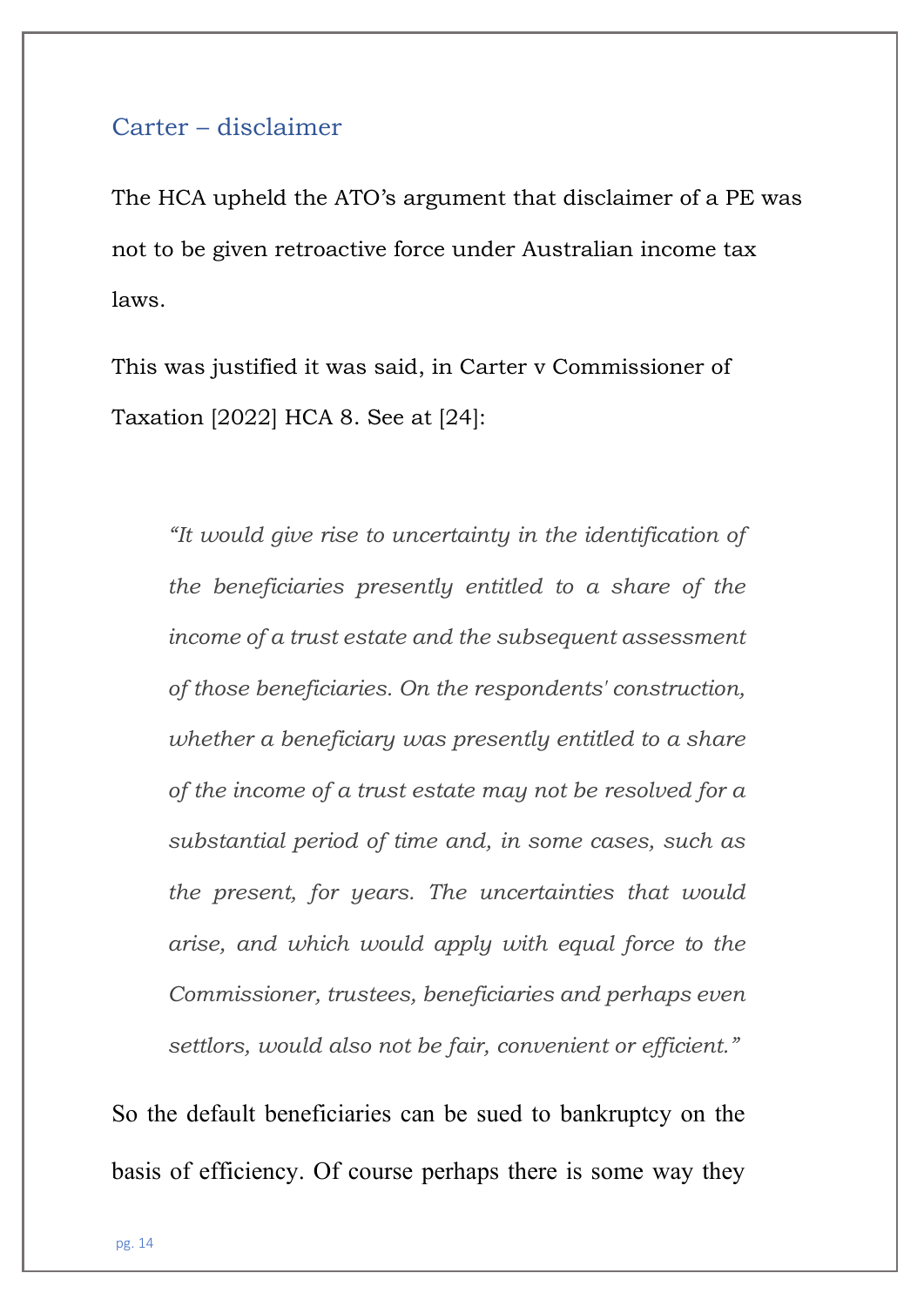#### Carter – disclaimer

The HCA upheld the ATO's argument that disclaimer of a PE was not to be given retroactive force under Australian income tax laws.

This was justified it was said, in Carter v Commissioner of Taxation [2022] HCA 8. See at [24]:

*"It would give rise to uncertainty in the identification of the beneficiaries presently entitled to a share of the income of a trust estate and the subsequent assessment of those beneficiaries. On the respondents' construction, whether a beneficiary was presently entitled to a share of the income of a trust estate may not be resolved for a substantial period of time and, in some cases, such as the present, for years. The uncertainties that would arise, and which would apply with equal force to the Commissioner, trustees, beneficiaries and perhaps even settlors, would also not be fair, convenient or efficient."*

So the default beneficiaries can be sued to bankruptcy on the basis of efficiency. Of course perhaps there is some way they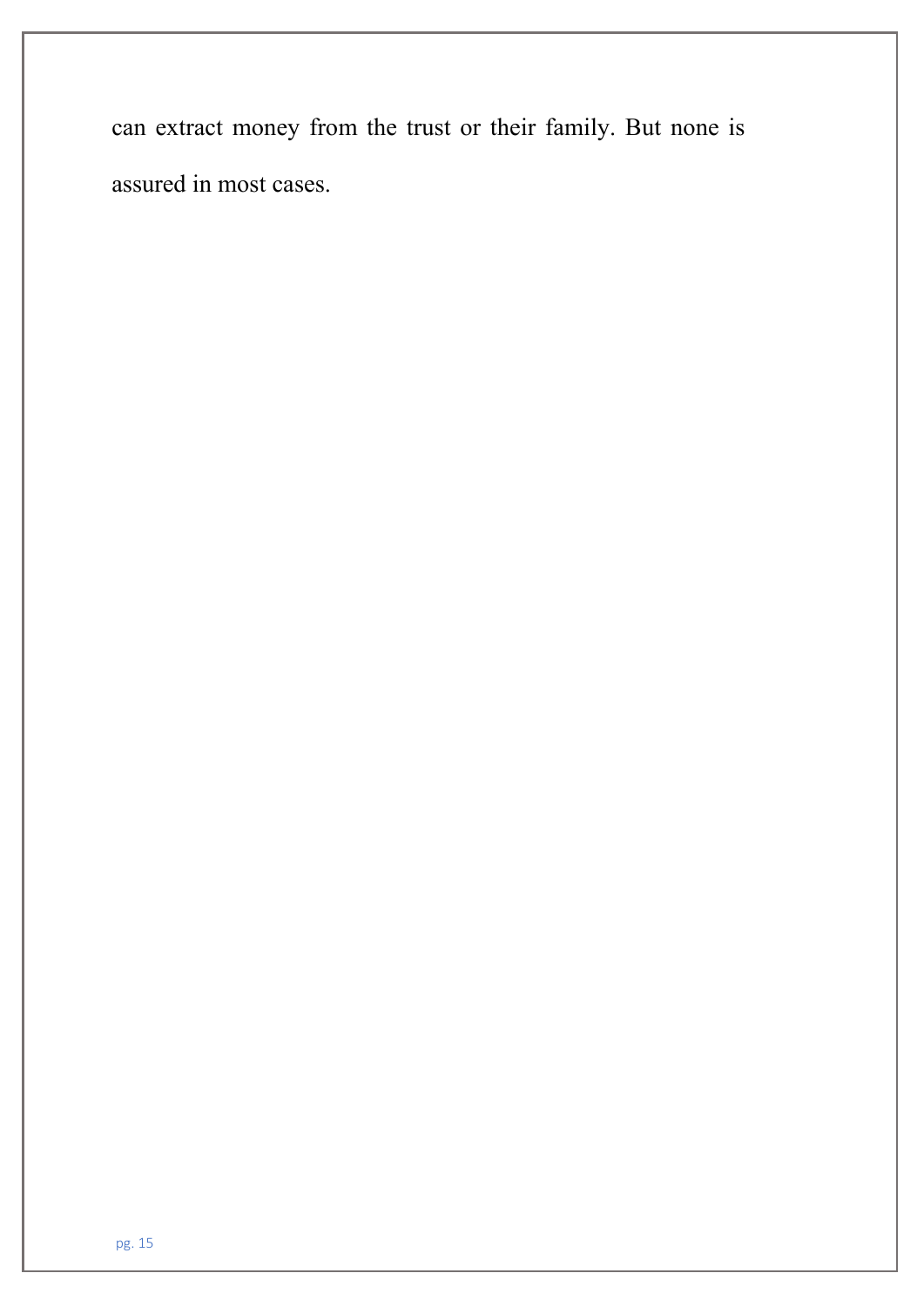can extract money from the trust or their family. But none is assured in most cases.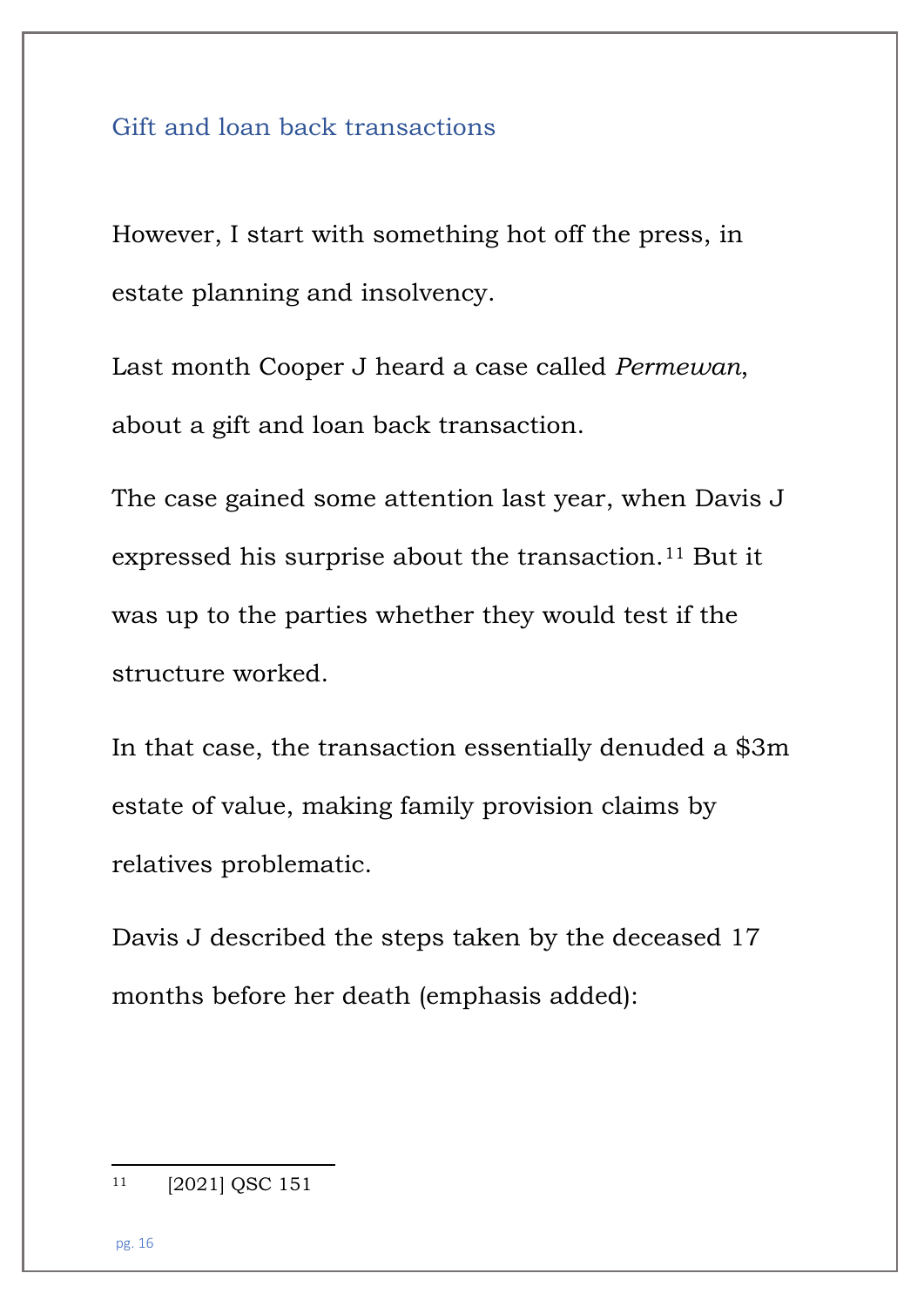#### Gift and loan back transactions

However, I start with something hot off the press, in estate planning and insolvency.

Last month Cooper J heard a case called *Permewan*, about a gift and loan back transaction.

The case gained some attention last year, when Davis J expressed his surprise about the transaction.[11](#page-15-0) But it was up to the parties whether they would test if the structure worked.

In that case, the transaction essentially denuded a \$3m estate of value, making family provision claims by relatives problematic.

Davis J described the steps taken by the deceased 17 months before her death (emphasis added):

<span id="page-15-0"></span><sup>11</sup> [2021] QSC 151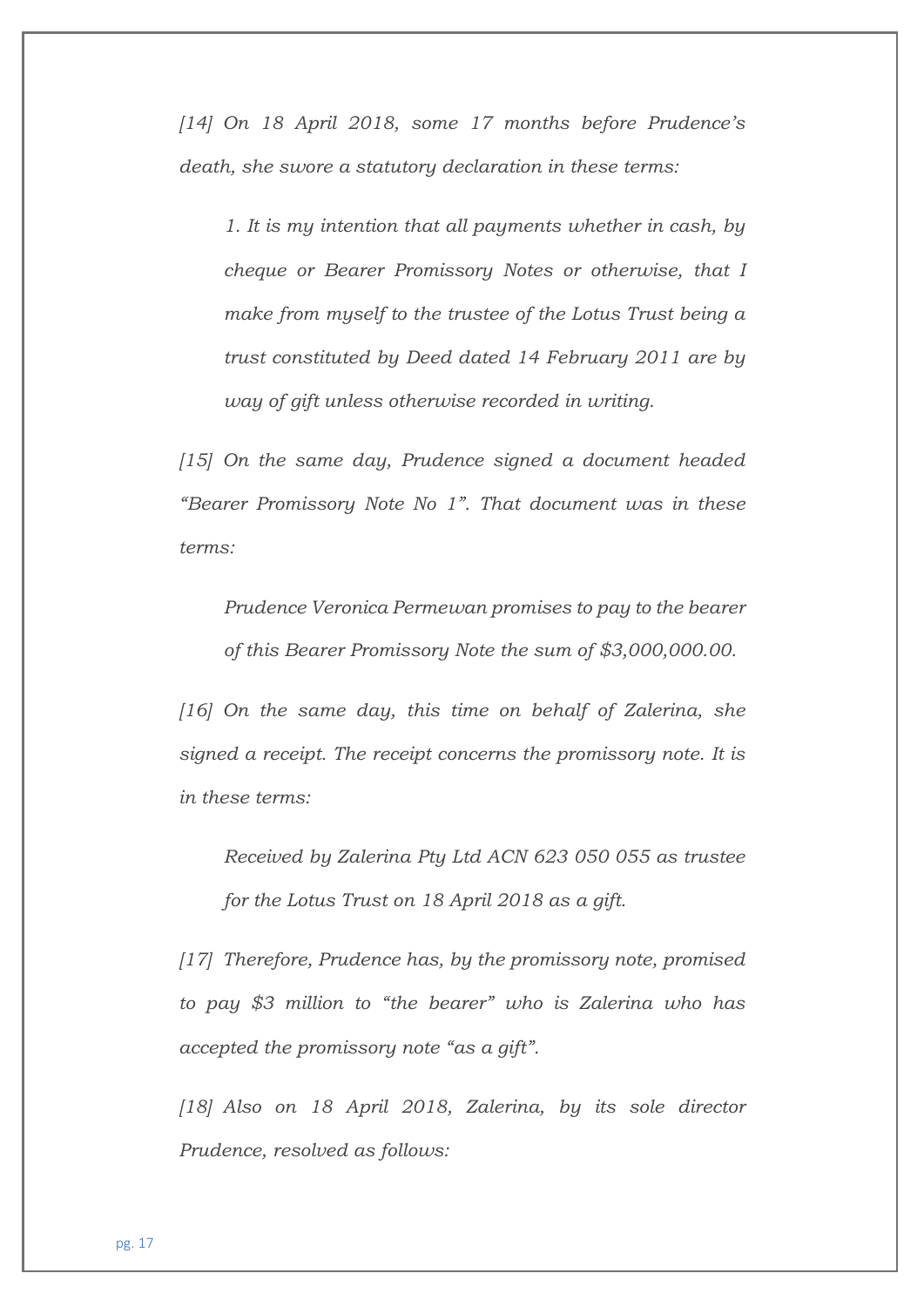*[14] On 18 April 2018, some 17 months before Prudence's death, she swore a statutory declaration in these terms:*

*1. It is my intention that all payments whether in cash, by cheque or Bearer Promissory Notes or otherwise, that I make from myself to the trustee of the Lotus Trust being a trust constituted by Deed dated 14 February 2011 are by way of gift unless otherwise recorded in writing.*

*[15] On the same day, Prudence signed a document headed "Bearer Promissory Note No 1". That document was in these terms:*

*Prudence Veronica Permewan promises to pay to the bearer of this Bearer Promissory Note the sum of \$3,000,000.00.*

*[16] On the same day, this time on behalf of Zalerina, she signed a receipt. The receipt concerns the promissory note. It is in these terms:*

*Received by Zalerina Pty Ltd ACN 623 050 055 as trustee for the Lotus Trust on 18 April 2018 as a gift.*

*[17] Therefore, Prudence has, by the promissory note, promised to pay \$3 million to "the bearer" who is Zalerina who has accepted the promissory note "as a gift".*

*[18] Also on 18 April 2018, Zalerina, by its sole director Prudence, resolved as follows:*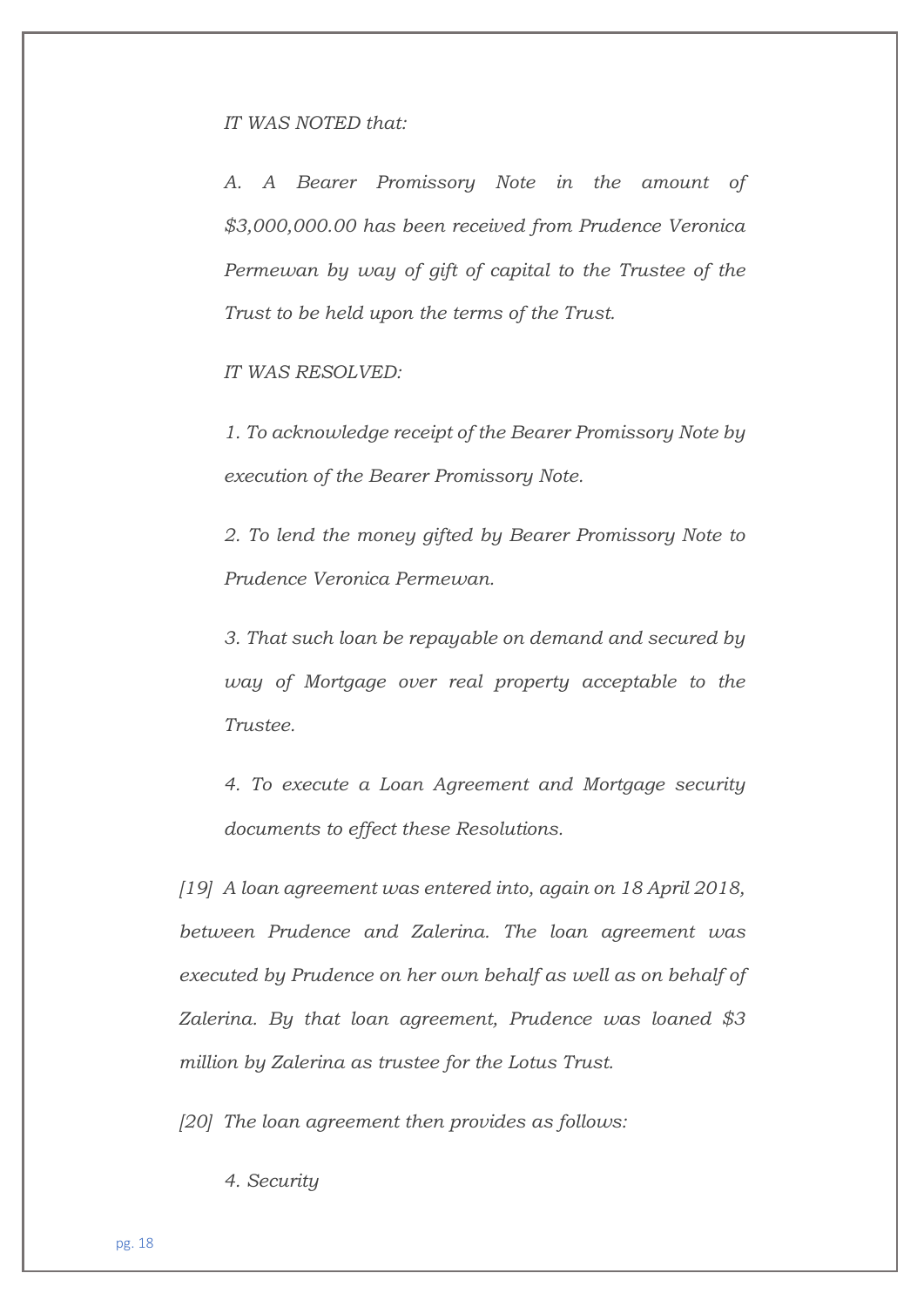#### *IT WAS NOTED that:*

*A. A Bearer Promissory Note in the amount of \$3,000,000.00 has been received from Prudence Veronica Permewan by way of gift of capital to the Trustee of the Trust to be held upon the terms of the Trust.*

*IT WAS RESOLVED:*

*1. To acknowledge receipt of the Bearer Promissory Note by execution of the Bearer Promissory Note.*

*2. To lend the money gifted by Bearer Promissory Note to Prudence Veronica Permewan.*

*3. That such loan be repayable on demand and secured by way of Mortgage over real property acceptable to the Trustee.*

*4. To execute a Loan Agreement and Mortgage security documents to effect these Resolutions.*

*[19] A loan agreement was entered into, again on 18 April 2018, between Prudence and Zalerina. The loan agreement was executed by Prudence on her own behalf as well as on behalf of Zalerina. By that loan agreement, Prudence was loaned \$3 million by Zalerina as trustee for the Lotus Trust.*

*[20] The loan agreement then provides as follows:*

*4. Security*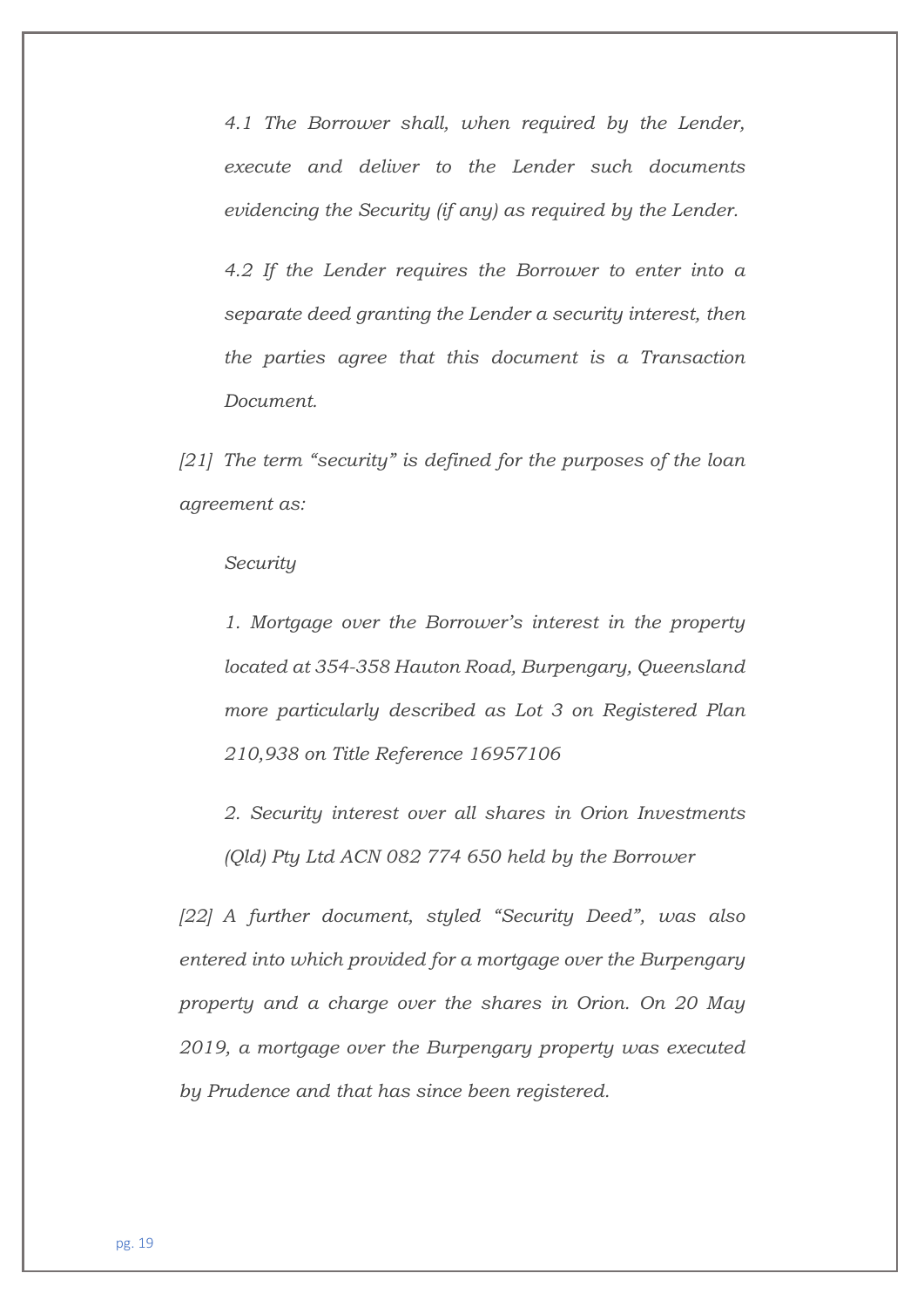*4.1 The Borrower shall, when required by the Lender, execute and deliver to the Lender such documents evidencing the Security (if any) as required by the Lender.*

*4.2 If the Lender requires the Borrower to enter into a separate deed granting the Lender a security interest, then the parties agree that this document is a Transaction Document.*

*[21] The term "security" is defined for the purposes of the loan agreement as:*

#### *Security*

*1. Mortgage over the Borrower's interest in the property located at 354-358 Hauton Road, Burpengary, Queensland more particularly described as Lot 3 on Registered Plan 210,938 on Title Reference 16957106*

*2. Security interest over all shares in Orion Investments (Qld) Pty Ltd ACN 082 774 650 held by the Borrower*

*[22] A further document, styled "Security Deed", was also entered into which provided for a mortgage over the Burpengary property and a charge over the shares in Orion. On 20 May 2019, a mortgage over the Burpengary property was executed by Prudence and that has since been registered.*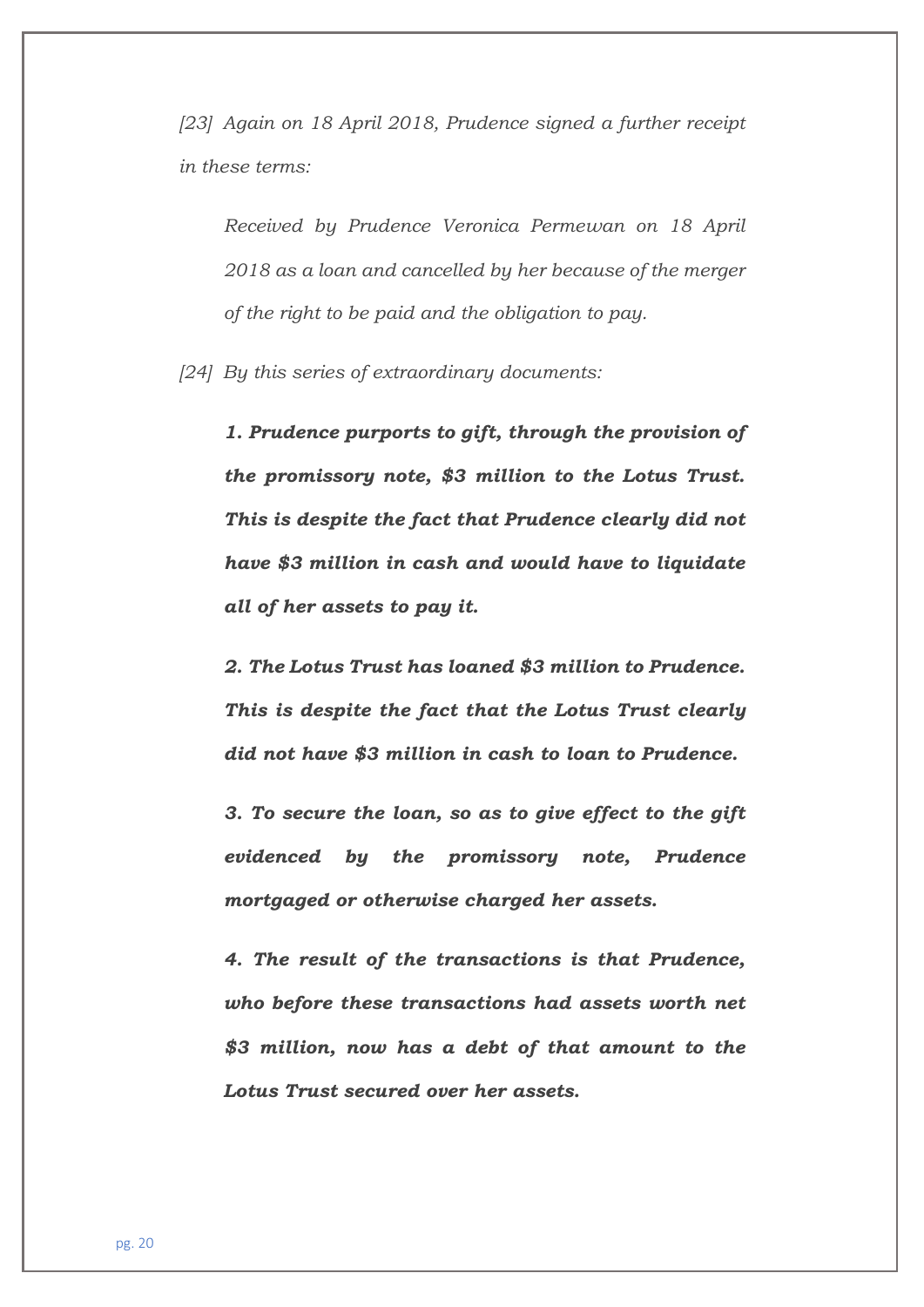*[23] Again on 18 April 2018, Prudence signed a further receipt in these terms:*

*Received by Prudence Veronica Permewan on 18 April 2018 as a loan and cancelled by her because of the merger of the right to be paid and the obligation to pay.*

*[24] By this series of extraordinary documents:*

*1. Prudence purports to gift, through the provision of the promissory note, \$3 million to the Lotus Trust. This is despite the fact that Prudence clearly did not have \$3 million in cash and would have to liquidate all of her assets to pay it.*

*2. The Lotus Trust has loaned \$3 million to Prudence. This is despite the fact that the Lotus Trust clearly did not have \$3 million in cash to loan to Prudence.*

*3. To secure the loan, so as to give effect to the gift evidenced by the promissory note, Prudence mortgaged or otherwise charged her assets.*

*4. The result of the transactions is that Prudence, who before these transactions had assets worth net \$3 million, now has a debt of that amount to the Lotus Trust secured over her assets.*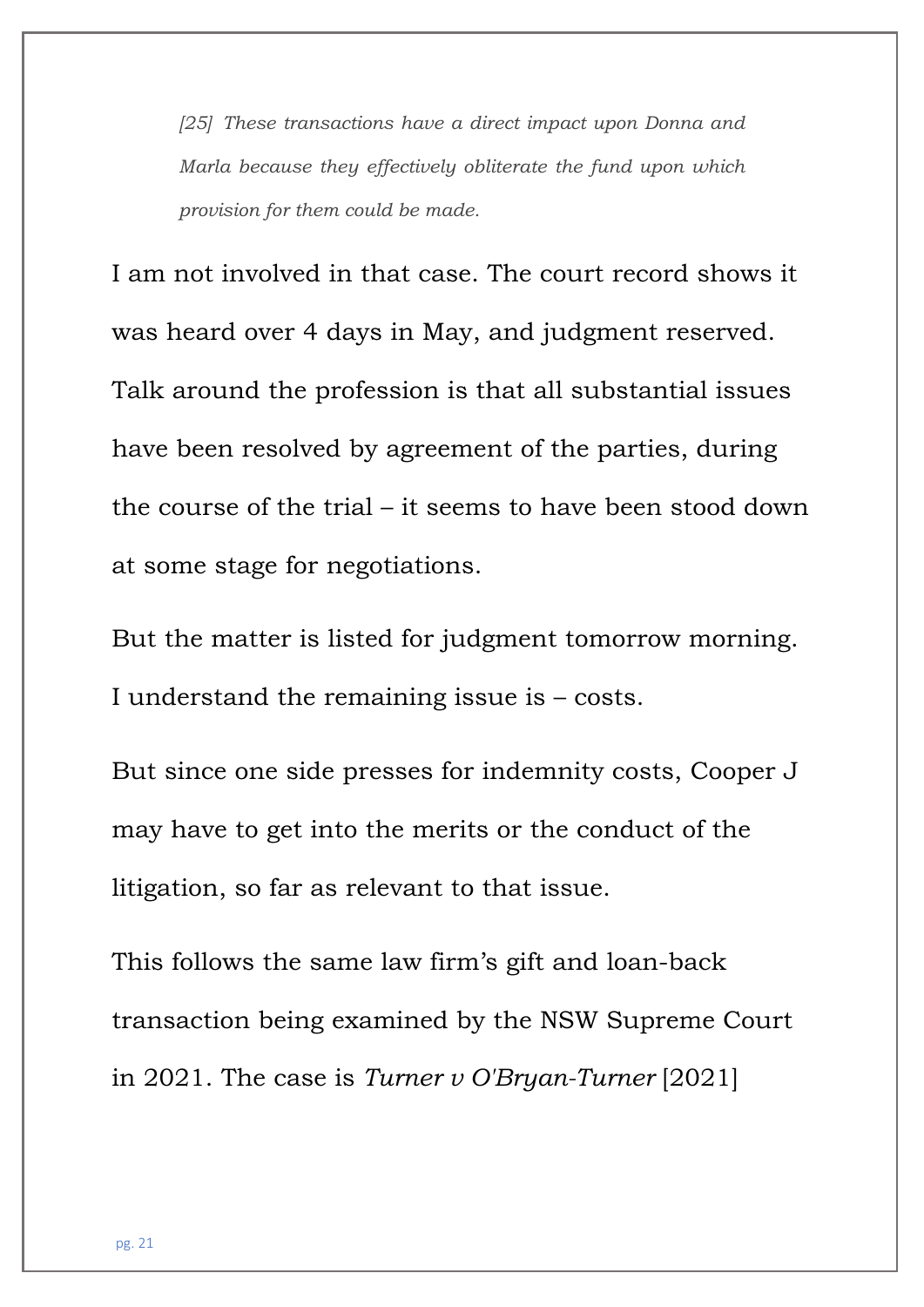*[25] These transactions have a direct impact upon Donna and Marla because they effectively obliterate the fund upon which provision for them could be made.* 

I am not involved in that case. The court record shows it was heard over 4 days in May, and judgment reserved. Talk around the profession is that all substantial issues have been resolved by agreement of the parties, during the course of the trial – it seems to have been stood down at some stage for negotiations.

But the matter is listed for judgment tomorrow morning. I understand the remaining issue is – costs.

But since one side presses for indemnity costs, Cooper J may have to get into the merits or the conduct of the litigation, so far as relevant to that issue.

This follows the same law firm's gift and loan-back transaction being examined by the NSW Supreme Court in 2021. The case is *[Turner v O'Bryan-Turner](https://advance.lexis.com/api/document/collection/cases-au/id/61SC-CTV1-JGPY-X4S3-00000-00?cite=%20%20%20%20%20%20%20%20%20%20Turner%20v%20O)* [\[2021\]](https://advance.lexis.com/api/document/collection/cases-au/id/61SC-CTV1-JGPY-X4S3-00000-00?cite=%20%20%20%20%20%20%20%20%20%20Turner%20v%20O)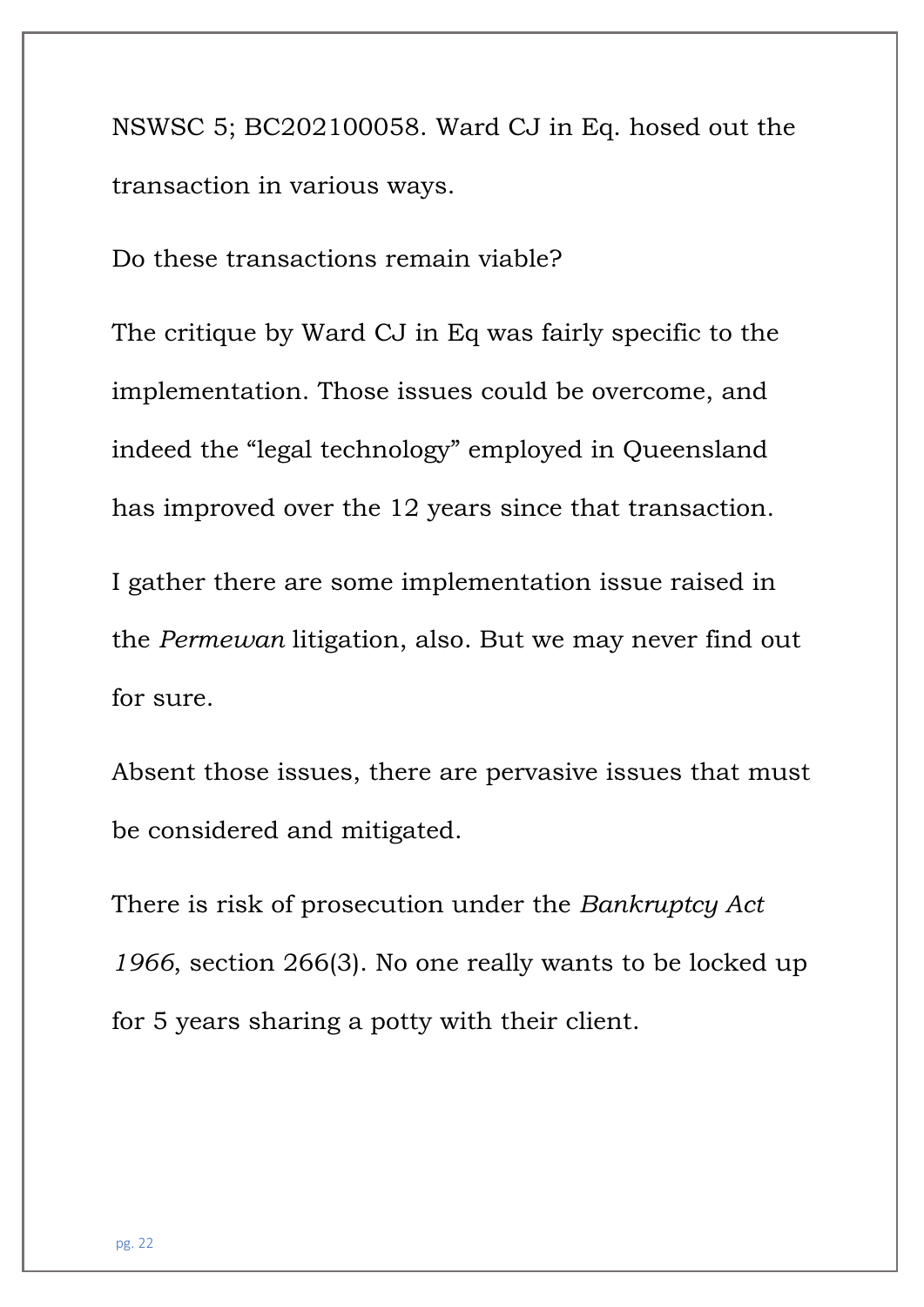[NSWSC 5; BC202100058.](https://advance.lexis.com/api/document/collection/cases-au/id/61SC-CTV1-JGPY-X4S3-00000-00?cite=%20%20%20%20%20%20%20%20%20%20Turner%20v%20O) Ward CJ in Eq. hosed out the transaction in various ways.

Do these transactions remain viable?

The critique by Ward CJ in Eq was fairly specific to the implementation. Those issues could be overcome, and indeed the "legal technology" employed in Queensland has improved over the 12 years since that transaction.

I gather there are some implementation issue raised in the *Permewan* litigation, also. But we may never find out for sure.

Absent those issues, there are pervasive issues that must be considered and mitigated.

There is risk of prosecution under the *Bankruptcy Act 1966*, section 266(3). No one really wants to be locked up for 5 years sharing a potty with their client.